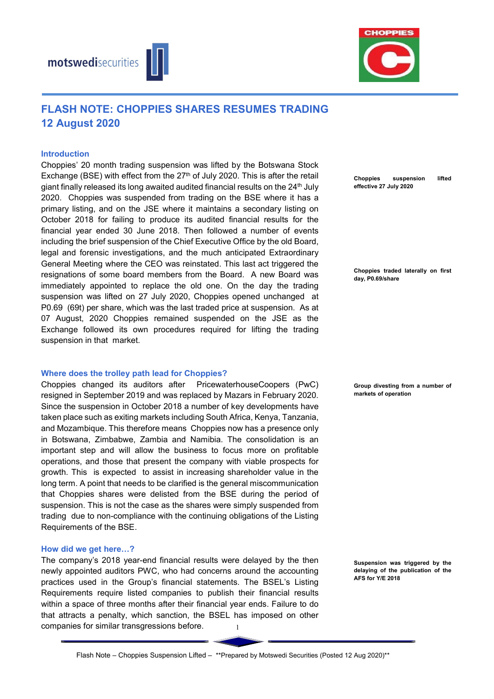



# FLASH NOTE: CHOPPIES SHARES RESUMES TRADING 12 August 2020

#### Introduction

Choppies' 20 month trading suspension was lifted by the Botswana Stock Exchange (BSE) with effect from the  $27<sup>th</sup>$  of July 2020. This is after the retail giant finally released its long awaited audited financial results on the 24<sup>th</sup> July 2020. Choppies was suspended from trading on the BSE where it has a primary listing, and on the JSE where it maintains a secondary listing on October 2018 for failing to produce its audited financial results for the financial year ended 30 June 2018. Then followed a number of events including the brief suspension of the Chief Executive Office by the old Board, legal and forensic investigations, and the much anticipated Extraordinary General Meeting where the CEO was reinstated. This last act triggered the resignations of some board members from the Board. A new Board was immediately appointed to replace the old one. On the day the trading suspension was lifted on 27 July 2020, Choppies opened unchanged at P0.69 (69t) per share, which was the last traded price at suspension. As at 07 August, 2020 Choppies remained suspended on the JSE as the Exchange followed its own procedures required for lifting the trading suspension in that market.

#### Where does the trolley path lead for Choppies?

Choppies changed its auditors after PricewaterhouseCoopers (PwC) resigned in September 2019 and was replaced by Mazars in February 2020. Since the suspension in October 2018 a number of key developments have taken place such as exiting markets including South Africa, Kenya, Tanzania, and Mozambique. This therefore means Choppies now has a presence only in Botswana, Zimbabwe, Zambia and Namibia. The consolidation is an important step and will allow the business to focus more on profitable operations, and those that present the company with viable prospects for growth. This is expected to assist in increasing shareholder value in the long term. A point that needs to be clarified is the general miscommunication that Choppies shares were delisted from the BSE during the period of suspension. This is not the case as the shares were simply suspended from trading due to non-compliance with the continuing obligations of the Listing Requirements of the BSE.

#### How did we get here…?

1 The company's 2018 year-end financial results were delayed by the then newly appointed auditors PWC, who had concerns around the accounting practices used in the Group's financial statements. The BSEL's Listing Requirements require listed companies to publish their financial results within a space of three months after their financial year ends. Failure to do that attracts a penalty, which sanction, the BSEL has imposed on other companies for similar transgressions before.

Choppies suspension lifted effective 27 July 2020

Choppies traded laterally on first day, P0.69/share

Group divesting from a number of markets of operation

Suspension was triggered by the delaying of the publication of the AFS for Y/E 2018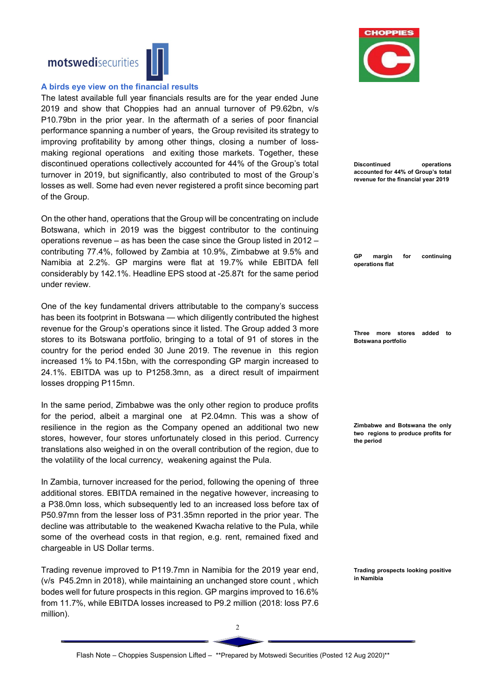

#### A birds eye view on the financial results

The latest available full year financials results are for the year ended June 2019 and show that Choppies had an annual turnover of P9.62bn, v/s P10.79bn in the prior year. In the aftermath of a series of poor financial performance spanning a number of years, the Group revisited its strategy to improving profitability by among other things, closing a number of lossmaking regional operations and exiting those markets. Together, these discontinued operations collectively accounted for 44% of the Group's total turnover in 2019, but significantly, also contributed to most of the Group's losses as well. Some had even never registered a profit since becoming part of the Group.

On the other hand, operations that the Group will be concentrating on include Botswana, which in 2019 was the biggest contributor to the continuing operations revenue – as has been the case since the Group listed in 2012 – contributing 77.4%, followed by Zambia at 10.9%, Zimbabwe at 9.5% and Namibia at 2.2%. GP margins were flat at 19.7% while EBITDA fell considerably by 142.1%. Headline EPS stood at -25.87t for the same period under review.

One of the key fundamental drivers attributable to the company's success has been its footprint in Botswana — which diligently contributed the highest revenue for the Group's operations since it listed. The Group added 3 more stores to its Botswana portfolio, bringing to a total of 91 of stores in the country for the period ended 30 June 2019. The revenue in this region increased 1% to P4.15bn, with the corresponding GP margin increased to 24.1%. EBITDA was up to P1258.3mn, as a direct result of impairment losses dropping P115mn.

In the same period, Zimbabwe was the only other region to produce profits for the period, albeit a marginal one at P2.04mn. This was a show of resilience in the region as the Company opened an additional two new stores, however, four stores unfortunately closed in this period. Currency translations also weighed in on the overall contribution of the region, due to the volatility of the local currency, weakening against the Pula.

In Zambia, turnover increased for the period, following the opening of three additional stores. EBITDA remained in the negative however, increasing to a P38.0mn loss, which subsequently led to an increased loss before tax of P50.97mn from the lesser loss of P31.35mn reported in the prior year. The decline was attributable to the weakened Kwacha relative to the Pula, while some of the overhead costs in that region, e.g. rent, remained fixed and chargeable in US Dollar terms.

Trading revenue improved to P119.7mn in Namibia for the 2019 year end, (v/s P45.2mn in 2018), while maintaining an unchanged store count , which bodes well for future prospects in this region. GP margins improved to 16.6% from 11.7%, while EBITDA losses increased to P9.2 million (2018: loss P7.6 million).



| <b>Discontinued</b><br>operations<br>accounted for 44% of Group's total<br>revenue for the financial year 2019 |
|----------------------------------------------------------------------------------------------------------------|
| GP<br>continuing<br>margin<br>for<br>operations flat                                                           |
| Three more stores added<br>to<br>Botswana portfolio                                                            |
| Zimbabwe and Botswana the only<br>two regions to produce profits for<br>the period                             |

Trading prospects looking positive in Namibia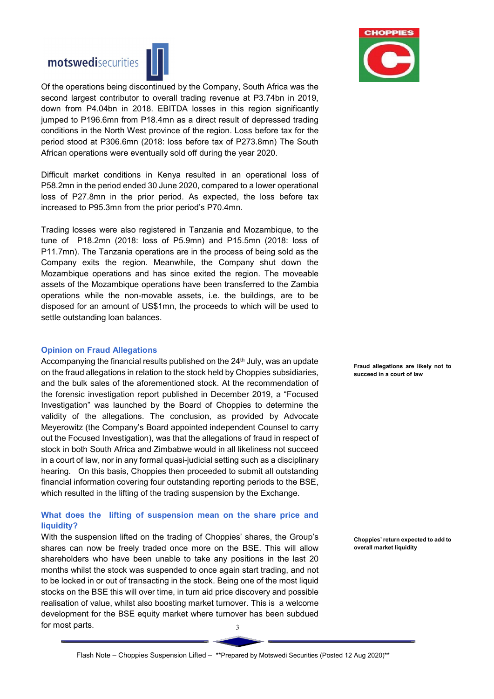

 $\overline{a}$ Of the operations being discontinued by the Company, South Africa was the second largest contributor to overall trading revenue at P3.74bn in 2019, down from P4.04bn in 2018. EBITDA losses in this region significantly jumped to P196.6mn from P18.4mn as a direct result of depressed trading conditions in the North West province of the region. Loss before tax for the period stood at P306.6mn (2018: loss before tax of P273.8mn) The South African operations were eventually sold off during the year 2020.

Difficult market conditions in Kenya resulted in an operational loss of P58.2mn in the period ended 30 June 2020, compared to a lower operational loss of P27.8mn in the prior period. As expected, the loss before tax increased to P95.3mn from the prior period's P70.4mn.

Trading losses were also registered in Tanzania and Mozambique, to the tune of P18.2mn (2018: loss of P5.9mn) and P15.5mn (2018: loss of P11.7mn). The Tanzania operations are in the process of being sold as the Company exits the region. Meanwhile, the Company shut down the Mozambique operations and has since exited the region. The moveable assets of the Mozambique operations have been transferred to the Zambia operations while the non-movable assets, i.e. the buildings, are to be disposed for an amount of US\$1mn, the proceeds to which will be used to settle outstanding loan balances.

#### Opinion on Fraud Allegations

Accompanying the financial results published on the  $24<sup>th</sup>$  July, was an update on the fraud allegations in relation to the stock held by Choppies subsidiaries, and the bulk sales of the aforementioned stock. At the recommendation of the forensic investigation report published in December 2019, a "Focused Investigation" was launched by the Board of Choppies to determine the validity of the allegations. The conclusion, as provided by Advocate Meyerowitz (the Company's Board appointed independent Counsel to carry out the Focused Investigation), was that the allegations of fraud in respect of stock in both South Africa and Zimbabwe would in all likeliness not succeed in a court of law, nor in any formal quasi-judicial setting such as a disciplinary hearing. On this basis, Choppies then proceeded to submit all outstanding financial information covering four outstanding reporting periods to the BSE, which resulted in the lifting of the trading suspension by the Exchange.

## What does the lifting of suspension mean on the share price and liquidity?

3 With the suspension lifted on the trading of Choppies' shares, the Group's shares can now be freely traded once more on the BSE. This will allow shareholders who have been unable to take any positions in the last 20 months whilst the stock was suspended to once again start trading, and not to be locked in or out of transacting in the stock. Being one of the most liquid stocks on the BSE this will over time, in turn aid price discovery and possible realisation of value, whilst also boosting market turnover. This is a welcome development for the BSE equity market where turnover has been subdued for most parts.



Fraud allegations are likely not to succeed in a court of law

Choppies' return expected to add to overall market liquidity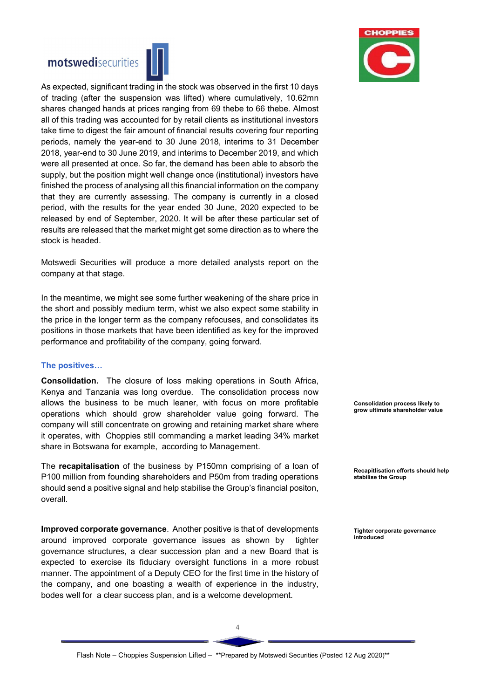



As expected, significant trading in the stock was observed in the first 10 days of trading (after the suspension was lifted) where cumulatively, 10.62mn shares changed hands at prices ranging from 69 thebe to 66 thebe. Almost all of this trading was accounted for by retail clients as institutional investors take time to digest the fair amount of financial results covering four reporting periods, namely the year-end to 30 June 2018, interims to 31 December 2018, year-end to 30 June 2019, and interims to December 2019, and which were all presented at once. So far, the demand has been able to absorb the supply, but the position might well change once (institutional) investors have finished the process of analysing all this financial information on the company that they are currently assessing. The company is currently in a closed period, with the results for the year ended 30 June, 2020 expected to be released by end of September, 2020. It will be after these particular set of results are released that the market might get some direction as to where the stock is headed.

Motswedi Securities will produce a more detailed analysts report on the company at that stage.

In the meantime, we might see some further weakening of the share price in the short and possibly medium term, whist we also expect some stability in the price in the longer term as the company refocuses, and consolidates its positions in those markets that have been identified as key for the improved performance and profitability of the company, going forward.

#### The positives…

Consolidation. The closure of loss making operations in South Africa, Kenya and Tanzania was long overdue. The consolidation process now allows the business to be much leaner, with focus on more profitable operations which should grow shareholder value going forward. The company will still concentrate on growing and retaining market share where it operates, with Choppies still commanding a market leading 34% market share in Botswana for example, according to Management.

The recapitalisation of the business by P150mn comprising of a loan of P100 million from founding shareholders and P50m from trading operations should send a positive signal and help stabilise the Group's financial positon, overall.

Improved corporate governance. Another positive is that of developments around improved corporate governance issues as shown by tighter governance structures, a clear succession plan and a new Board that is expected to exercise its fiduciary oversight functions in a more robust manner. The appointment of a Deputy CEO for the first time in the history of the company, and one boasting a wealth of experience in the industry, bodes well for a clear success plan, and is a welcome development.

Consolidation process likely to grow ultimate shareholder value

Recapitlisation efforts should help stabilise the Group

Tighter corporate governance introduced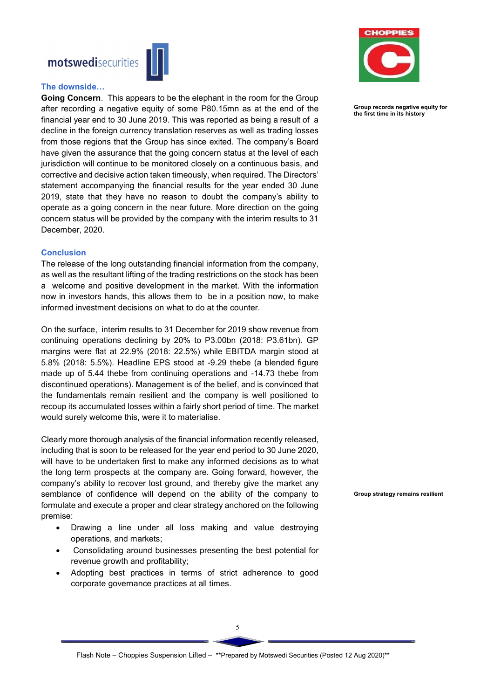

### The downside…

Going Concern. This appears to be the elephant in the room for the Group after recording a negative equity of some P80.15mn as at the end of the financial year end to 30 June 2019. This was reported as being a result of a decline in the foreign currency translation reserves as well as trading losses from those regions that the Group has since exited. The company's Board have given the assurance that the going concern status at the level of each jurisdiction will continue to be monitored closely on a continuous basis, and corrective and decisive action taken timeously, when required. The Directors' statement accompanying the financial results for the year ended 30 June 2019, state that they have no reason to doubt the company's ability to operate as a going concern in the near future. More direction on the going concern status will be provided by the company with the interim results to 31 December, 2020.

### Conclusion

The release of the long outstanding financial information from the company, as well as the resultant lifting of the trading restrictions on the stock has been a welcome and positive development in the market. With the information now in investors hands, this allows them to be in a position now, to make informed investment decisions on what to do at the counter.

On the surface, interim results to 31 December for 2019 show revenue from continuing operations declining by 20% to P3.00bn (2018: P3.61bn). GP margins were flat at 22.9% (2018: 22.5%) while EBITDA margin stood at 5.8% (2018: 5.5%). Headline EPS stood at -9.29 thebe (a blended figure made up of 5.44 thebe from continuing operations and -14.73 thebe from discontinued operations). Management is of the belief, and is convinced that the fundamentals remain resilient and the company is well positioned to recoup its accumulated losses within a fairly short period of time. The market would surely welcome this, were it to materialise.

Clearly more thorough analysis of the financial information recently released, including that is soon to be released for the year end period to 30 June 2020, will have to be undertaken first to make any informed decisions as to what the long term prospects at the company are. Going forward, however, the company's ability to recover lost ground, and thereby give the market any semblance of confidence will depend on the ability of the company to formulate and execute a proper and clear strategy anchored on the following premise:

- Drawing a line under all loss making and value destroying operations, and markets;
- Consolidating around businesses presenting the best potential for revenue growth and profitability;
- Adopting best practices in terms of strict adherence to good corporate governance practices at all times.



Group records negative equity for the first time in its history

Group strategy remains resilient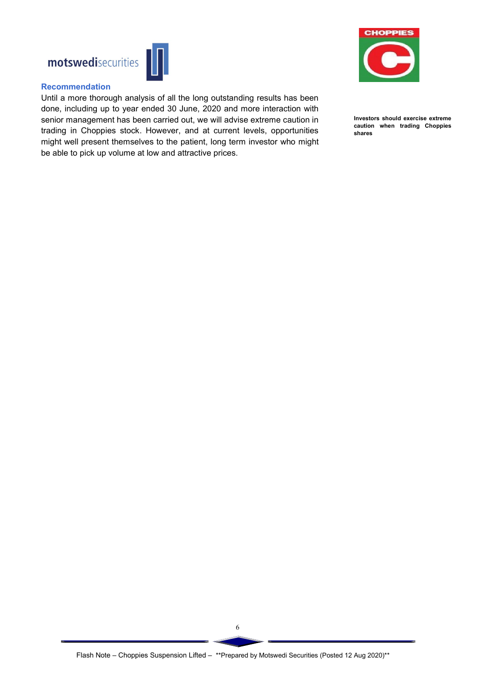



### Recommendation

Until a more thorough analysis of all the long outstanding results has been done, including up to year ended 30 June, 2020 and more interaction with senior management has been carried out, we will advise extreme caution in trading in Choppies stock. However, and at current levels, opportunities might well present themselves to the patient, long term investor who might be able to pick up volume at low and attractive prices.



Investors should exercise extreme caution when trading Choppies shares